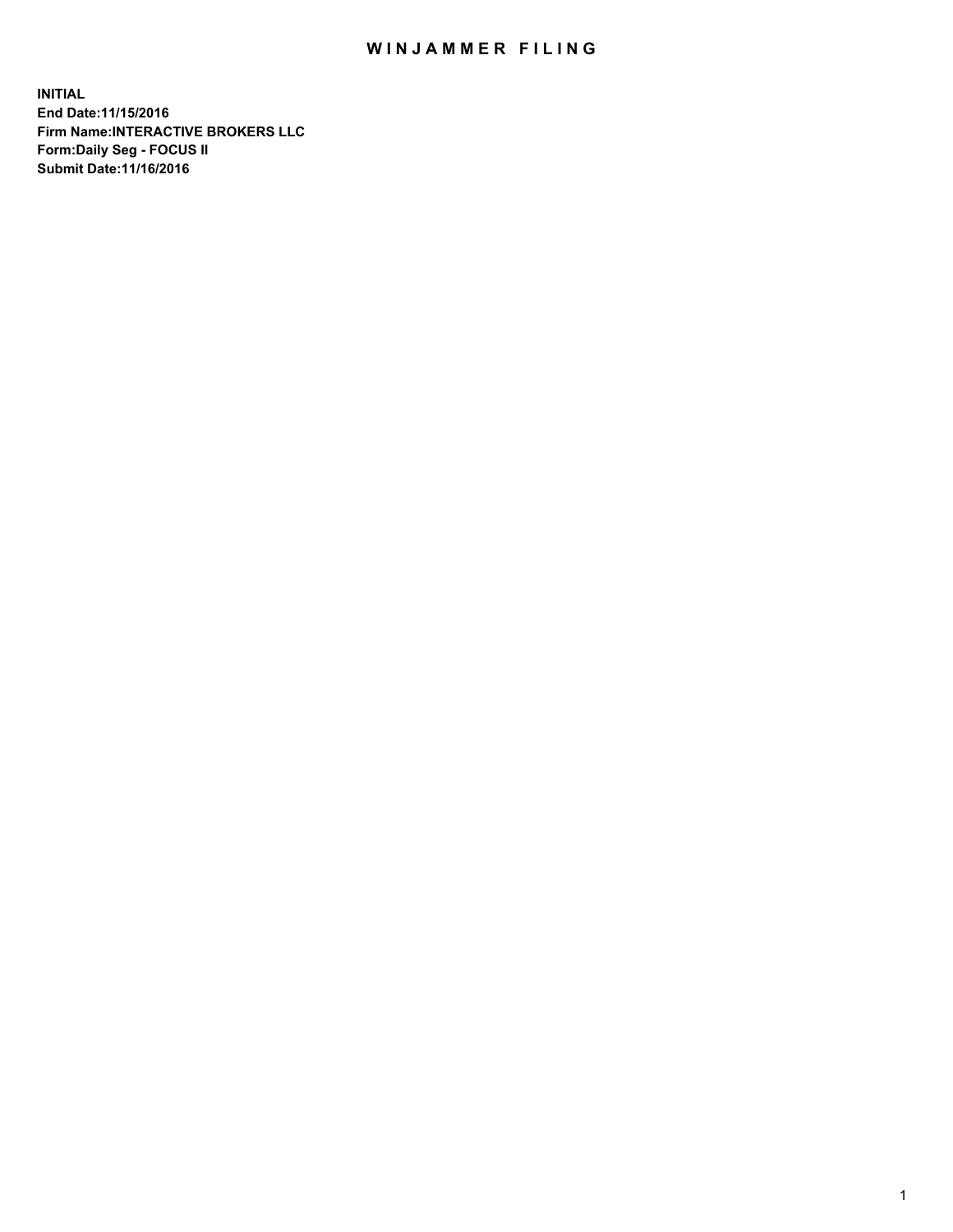## WIN JAMMER FILING

**INITIAL End Date:11/15/2016 Firm Name:INTERACTIVE BROKERS LLC Form:Daily Seg - FOCUS II Submit Date:11/16/2016**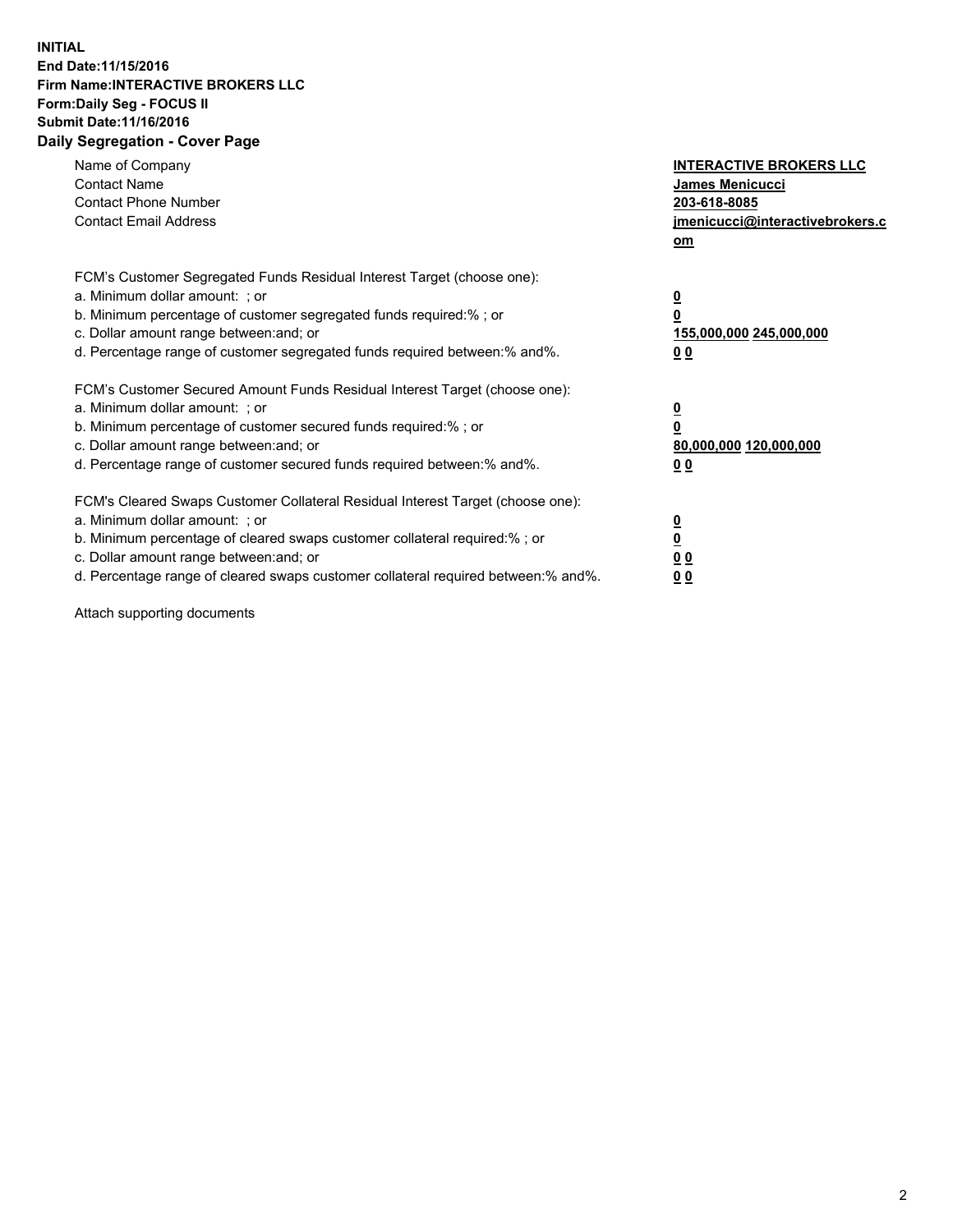## **INITIAL End Date:11/15/2016 Firm Name:INTERACTIVE BROKERS LLC Form:Daily Seg - FOCUS II Submit Date:11/16/2016 Daily Segregation - Cover Page**

| Name of Company<br><b>Contact Name</b><br><b>Contact Phone Number</b><br><b>Contact Email Address</b>                                                                                                                                                                                                                          | <b>INTERACTIVE BROKERS LLC</b><br>James Menicucci<br>203-618-8085<br><u>jmenicucci@interactivebrokers.c</u><br>om |
|--------------------------------------------------------------------------------------------------------------------------------------------------------------------------------------------------------------------------------------------------------------------------------------------------------------------------------|-------------------------------------------------------------------------------------------------------------------|
| FCM's Customer Segregated Funds Residual Interest Target (choose one):<br>a. Minimum dollar amount: ; or<br>b. Minimum percentage of customer segregated funds required:%; or<br>c. Dollar amount range between: and; or<br>d. Percentage range of customer segregated funds required between:% and%.                          | $\overline{\mathbf{0}}$<br>0<br>155,000,000 245,000,000<br>0 <sub>0</sub>                                         |
| FCM's Customer Secured Amount Funds Residual Interest Target (choose one):<br>a. Minimum dollar amount: ; or<br>b. Minimum percentage of customer secured funds required:%; or<br>c. Dollar amount range between: and; or<br>d. Percentage range of customer secured funds required between:% and%.                            | $\overline{\mathbf{0}}$<br>$\overline{\mathbf{0}}$<br>80,000,000 120,000,000<br>00                                |
| FCM's Cleared Swaps Customer Collateral Residual Interest Target (choose one):<br>a. Minimum dollar amount: ; or<br>b. Minimum percentage of cleared swaps customer collateral required:% ; or<br>c. Dollar amount range between: and; or<br>d. Percentage range of cleared swaps customer collateral required between:% and%. | $\overline{\mathbf{0}}$<br>$\overline{\mathbf{0}}$<br>0 <sub>0</sub><br><u>00</u>                                 |

Attach supporting documents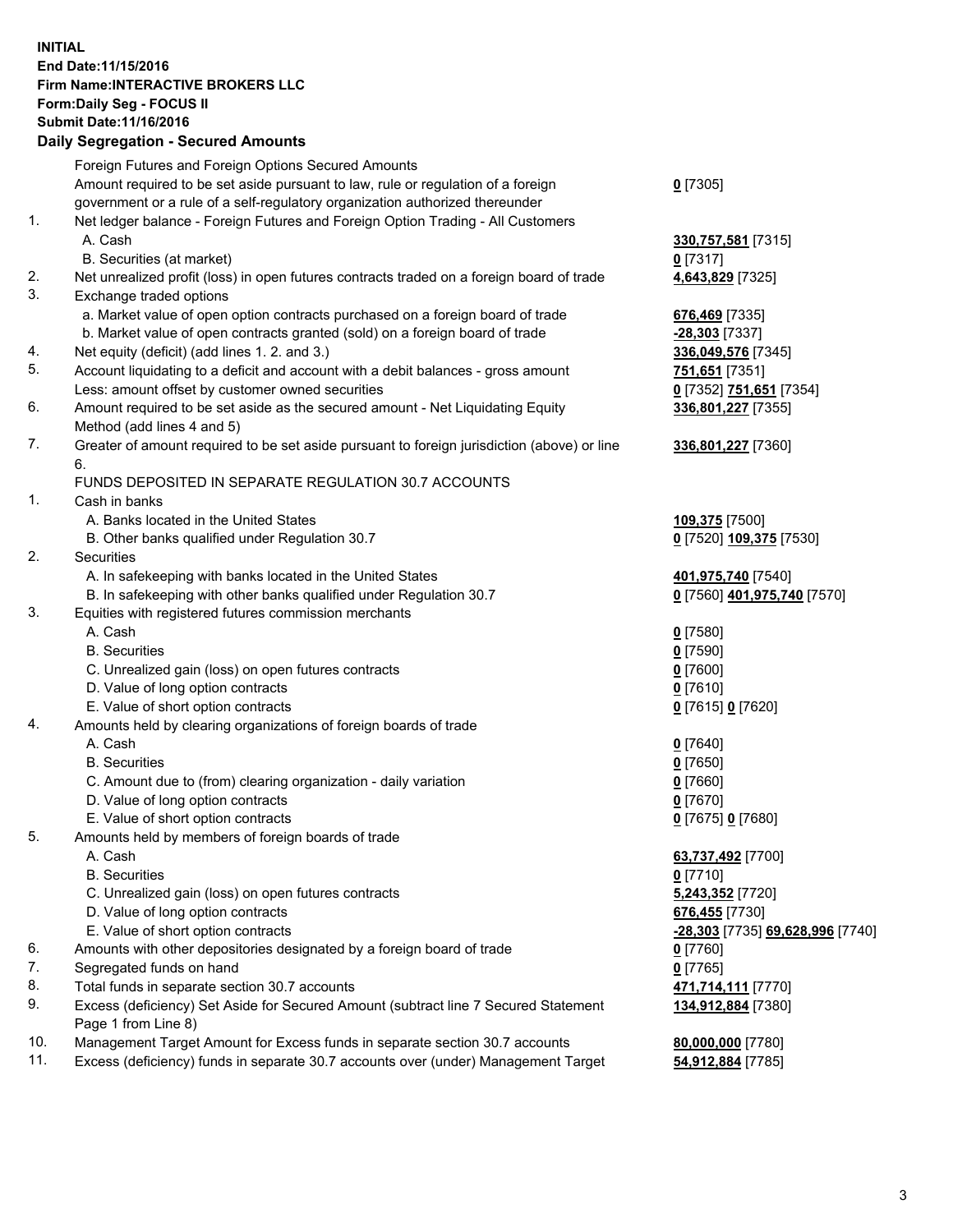## **INITIAL End Date:11/15/2016 Firm Name:INTERACTIVE BROKERS LLC Form:Daily Seg - FOCUS II Submit Date:11/16/2016 Daily Segregation - Secured Amounts**

|     | Daily Jegiegation - Jeculeu Alliounts                                                                      |                                  |
|-----|------------------------------------------------------------------------------------------------------------|----------------------------------|
|     | Foreign Futures and Foreign Options Secured Amounts                                                        |                                  |
|     | Amount required to be set aside pursuant to law, rule or regulation of a foreign                           | $0$ [7305]                       |
|     | government or a rule of a self-regulatory organization authorized thereunder                               |                                  |
| 1.  | Net ledger balance - Foreign Futures and Foreign Option Trading - All Customers                            |                                  |
|     | A. Cash                                                                                                    | 330,757,581 [7315]               |
|     | B. Securities (at market)                                                                                  | $0$ [7317]                       |
| 2.  | Net unrealized profit (loss) in open futures contracts traded on a foreign board of trade                  | 4,643,829 [7325]                 |
| 3.  | Exchange traded options                                                                                    |                                  |
|     | a. Market value of open option contracts purchased on a foreign board of trade                             | 676,469 [7335]                   |
|     | b. Market value of open contracts granted (sold) on a foreign board of trade                               | $-28,303$ [7337]                 |
| 4.  | Net equity (deficit) (add lines 1. 2. and 3.)                                                              | 336,049,576 [7345]               |
| 5.  | Account liquidating to a deficit and account with a debit balances - gross amount                          | 751,651 [7351]                   |
|     | Less: amount offset by customer owned securities                                                           | 0 [7352] 751,651 [7354]          |
| 6.  | Amount required to be set aside as the secured amount - Net Liquidating Equity                             | 336,801,227 [7355]               |
|     | Method (add lines 4 and 5)                                                                                 |                                  |
| 7.  | Greater of amount required to be set aside pursuant to foreign jurisdiction (above) or line                | 336,801,227 [7360]               |
|     | 6.                                                                                                         |                                  |
|     | FUNDS DEPOSITED IN SEPARATE REGULATION 30.7 ACCOUNTS                                                       |                                  |
| 1.  | Cash in banks                                                                                              |                                  |
|     | A. Banks located in the United States                                                                      | 109,375 [7500]                   |
|     | B. Other banks qualified under Regulation 30.7                                                             | 0 [7520] 109,375 [7530]          |
| 2.  | Securities                                                                                                 |                                  |
|     | A. In safekeeping with banks located in the United States                                                  | 401,975,740 [7540]               |
|     | B. In safekeeping with other banks qualified under Regulation 30.7                                         | 0 [7560] 401,975,740 [7570]      |
| 3.  | Equities with registered futures commission merchants                                                      |                                  |
|     | A. Cash                                                                                                    | $0$ [7580]                       |
|     | <b>B.</b> Securities                                                                                       | $0$ [7590]                       |
|     | C. Unrealized gain (loss) on open futures contracts                                                        | $0$ [7600]                       |
|     | D. Value of long option contracts                                                                          | $0$ [7610]                       |
|     | E. Value of short option contracts                                                                         | 0 [7615] 0 [7620]                |
| 4.  | Amounts held by clearing organizations of foreign boards of trade                                          |                                  |
|     | A. Cash                                                                                                    | $0$ [7640]                       |
|     | <b>B.</b> Securities                                                                                       | $0$ [7650]                       |
|     | C. Amount due to (from) clearing organization - daily variation                                            | $0$ [7660]                       |
|     | D. Value of long option contracts                                                                          | $0$ [7670]                       |
|     | E. Value of short option contracts                                                                         | 0 [7675] 0 [7680]                |
| 5.  | Amounts held by members of foreign boards of trade                                                         |                                  |
|     | A. Cash                                                                                                    | 63,737,492 [7700]                |
|     | <b>B.</b> Securities                                                                                       | $0$ [7710]                       |
|     | C. Unrealized gain (loss) on open futures contracts                                                        | 5,243,352 [7720]                 |
|     | D. Value of long option contracts                                                                          | 676,455 [7730]                   |
|     | E. Value of short option contracts                                                                         | -28,303 [7735] 69,628,996 [7740] |
| 6.  | Amounts with other depositories designated by a foreign board of trade                                     | 0 [7760]                         |
| 7.  | Segregated funds on hand                                                                                   | $0$ [7765]                       |
| 8.  | Total funds in separate section 30.7 accounts                                                              | 471,714,111 [7770]               |
| 9.  | Excess (deficiency) Set Aside for Secured Amount (subtract line 7 Secured Statement<br>Page 1 from Line 8) | 134,912,884 [7380]               |
| 10. | Management Target Amount for Excess funds in separate section 30.7 accounts                                | 80,000,000 [7780]                |
| 11. | Excess (deficiency) funds in separate 30.7 accounts over (under) Management Target                         | 54,912,884 [7785]                |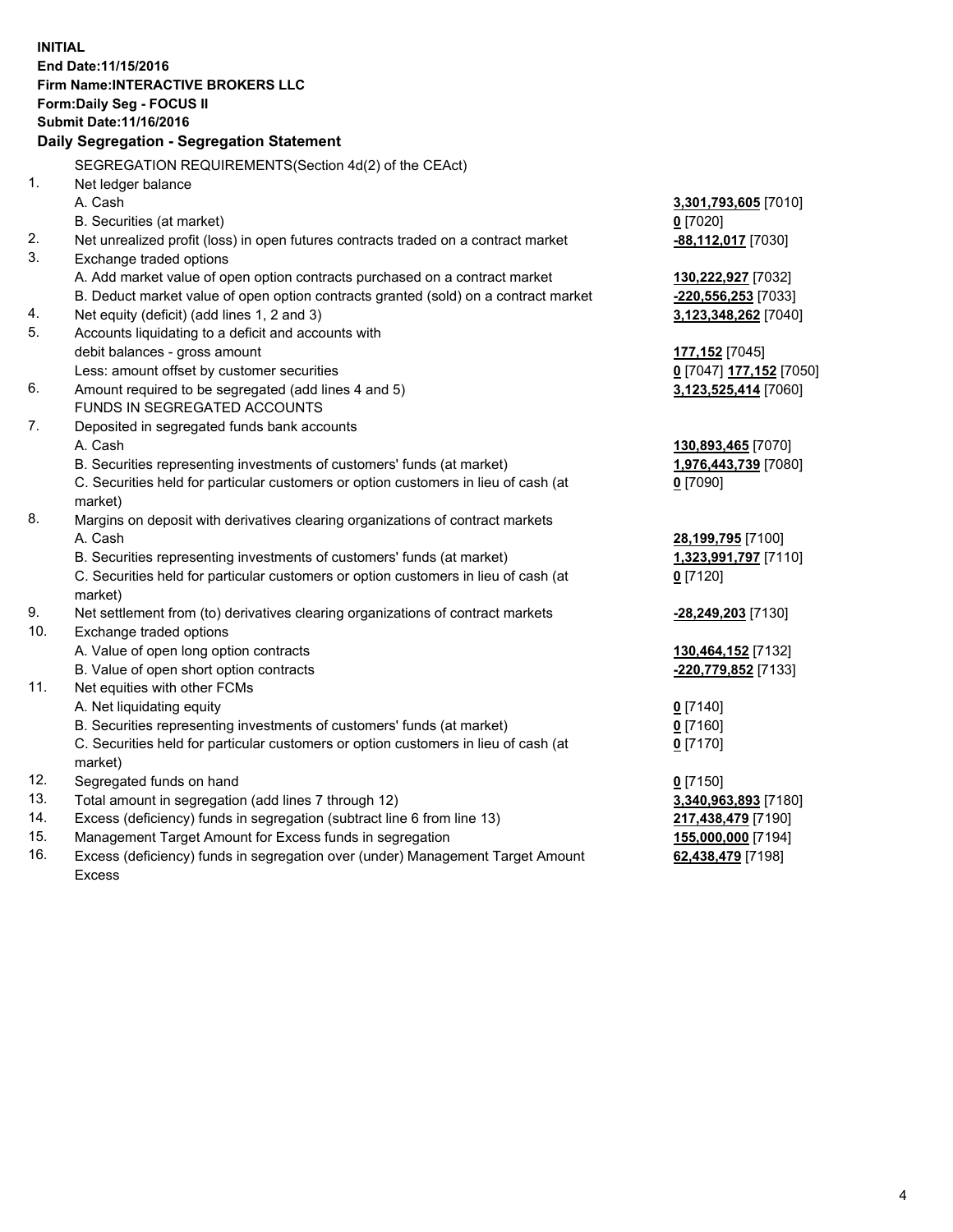**INITIAL End Date:11/15/2016 Firm Name:INTERACTIVE BROKERS LLC Form:Daily Seg - FOCUS II Submit Date:11/16/2016 Daily Segregation - Segregation Statement** SEGREGATION REQUIREMENTS(Section 4d(2) of the CEAct) 1. Net ledger balance A. Cash **3,301,793,605** [7010] B. Securities (at market) **0** [7020] 2. Net unrealized profit (loss) in open futures contracts traded on a contract market **-88,112,017** [7030] 3. Exchange traded options A. Add market value of open option contracts purchased on a contract market **130,222,927** [7032] B. Deduct market value of open option contracts granted (sold) on a contract market **-220,556,253** [7033] 4. Net equity (deficit) (add lines 1, 2 and 3) **3,123,348,262** [7040] 5. Accounts liquidating to a deficit and accounts with debit balances - gross amount **177,152** [7045] Less: amount offset by customer securities **0** [7047] **177,152** [7050] 6. Amount required to be segregated (add lines 4 and 5) **3,123,525,414** [7060] FUNDS IN SEGREGATED ACCOUNTS 7. Deposited in segregated funds bank accounts A. Cash **130,893,465** [7070] B. Securities representing investments of customers' funds (at market) **1,976,443,739** [7080] C. Securities held for particular customers or option customers in lieu of cash (at market) **0** [7090] 8. Margins on deposit with derivatives clearing organizations of contract markets A. Cash **28,199,795** [7100] B. Securities representing investments of customers' funds (at market) **1,323,991,797** [7110] C. Securities held for particular customers or option customers in lieu of cash (at market) **0** [7120] 9. Net settlement from (to) derivatives clearing organizations of contract markets **-28,249,203** [7130] 10. Exchange traded options A. Value of open long option contracts **130,464,152** [7132] B. Value of open short option contracts **-220,779,852** [7133] 11. Net equities with other FCMs A. Net liquidating equity **0** [7140] B. Securities representing investments of customers' funds (at market) **0** [7160] C. Securities held for particular customers or option customers in lieu of cash (at market) **0** [7170] 12. Segregated funds on hand **0** [7150] 13. Total amount in segregation (add lines 7 through 12) **3,340,963,893** [7180] 14. Excess (deficiency) funds in segregation (subtract line 6 from line 13) **217,438,479** [7190] 15. Management Target Amount for Excess funds in segregation **155,000,000** [7194] **62,438,479** [7198]

16. Excess (deficiency) funds in segregation over (under) Management Target Amount Excess